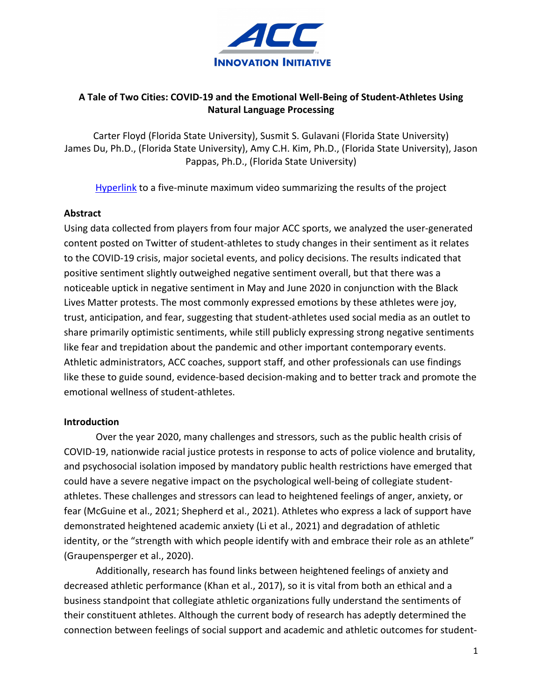

# **A Tale of Two Cities: COVID-19 and the Emotional Well-Being of Student-Athletes Using Natural Language Processing**

Carter Floyd (Florida State University), Susmit S. Gulavani (Florida State University) James Du, Ph.D., (Florida State University), Amy C.H. Kim, Ph.D., (Florida State University), Jason Pappas, Ph.D., (Florida State University)

[Hyperlink](https://youtu.be/D-vS_edhAuk) to a five-minute maximum video summarizing the results of the project

## **Abstract**

Using data collected from players from four major ACC sports, we analyzed the user-generated content posted on Twitter of student-athletes to study changes in their sentiment as it relates to the COVID-19 crisis, major societal events, and policy decisions. The results indicated that positive sentiment slightly outweighed negative sentiment overall, but that there was a noticeable uptick in negative sentiment in May and June 2020 in conjunction with the Black Lives Matter protests. The most commonly expressed emotions by these athletes were joy, trust, anticipation, and fear, suggesting that student-athletes used social media as an outlet to share primarily optimistic sentiments, while still publicly expressing strong negative sentiments like fear and trepidation about the pandemic and other important contemporary events. Athletic administrators, ACC coaches, support staff, and other professionals can use findings like these to guide sound, evidence-based decision-making and to better track and promote the emotional wellness of student-athletes.

#### **Introduction**

Over the year 2020, many challenges and stressors, such as the public health crisis of COVID-19, nationwide racial justice protests in response to acts of police violence and brutality, and psychosocial isolation imposed by mandatory public health restrictions have emerged that could have a severe negative impact on the psychological well-being of collegiate studentathletes. These challenges and stressors can lead to heightened feelings of anger, anxiety, or fear (McGuine et al., 2021; Shepherd et al., 2021). Athletes who express a lack of support have demonstrated heightened academic anxiety (Li et al., 2021) and degradation of athletic identity, or the "strength with which people identify with and embrace their role as an athlete" (Graupensperger et al., 2020).

Additionally, research has found links between heightened feelings of anxiety and decreased athletic performance (Khan et al., 2017), so it is vital from both an ethical and a business standpoint that collegiate athletic organizations fully understand the sentiments of their constituent athletes. Although the current body of research has adeptly determined the connection between feelings of social support and academic and athletic outcomes for student-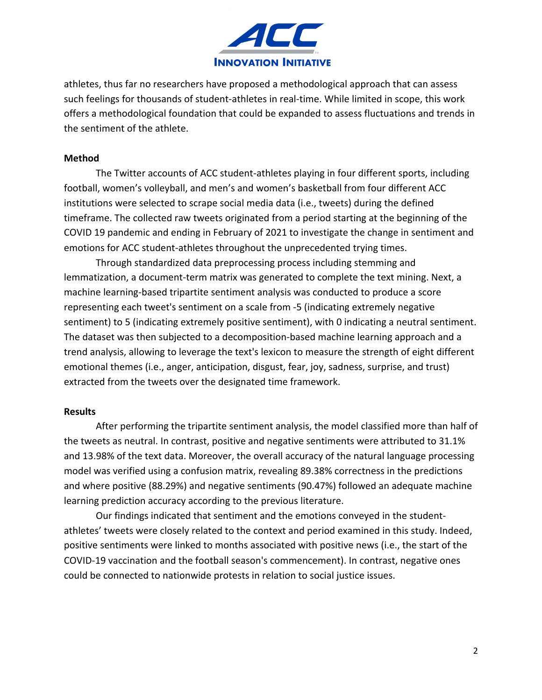

athletes, thus far no researchers have proposed a methodological approach that can assess such feelings for thousands of student-athletes in real-time. While limited in scope, this work offers a methodological foundation that could be expanded to assess fluctuations and trends in the sentiment of the athlete.

#### **Method**

The Twitter accounts of ACC student-athletes playing in four different sports, including football, women's volleyball, and men's and women's basketball from four different ACC institutions were selected to scrape social media data (i.e., tweets) during the defined timeframe. The collected raw tweets originated from a period starting at the beginning of the COVID 19 pandemic and ending in February of 2021 to investigate the change in sentiment and emotions for ACC student-athletes throughout the unprecedented trying times.

Through standardized data preprocessing process including stemming and lemmatization, a document-term matrix was generated to complete the text mining. Next, a machine learning-based tripartite sentiment analysis was conducted to produce a score representing each tweet's sentiment on a scale from -5 (indicating extremely negative sentiment) to 5 (indicating extremely positive sentiment), with 0 indicating a neutral sentiment. The dataset was then subjected to a decomposition-based machine learning approach and a trend analysis, allowing to leverage the text's lexicon to measure the strength of eight different emotional themes (i.e., anger, anticipation, disgust, fear, joy, sadness, surprise, and trust) extracted from the tweets over the designated time framework.

#### **Results**

After performing the tripartite sentiment analysis, the model classified more than half of the tweets as neutral. In contrast, positive and negative sentiments were attributed to 31.1% and 13.98% of the text data. Moreover, the overall accuracy of the natural language processing model was verified using a confusion matrix, revealing 89.38% correctness in the predictions and where positive (88.29%) and negative sentiments (90.47%) followed an adequate machine learning prediction accuracy according to the previous literature.

Our findings indicated that sentiment and the emotions conveyed in the studentathletes' tweets were closely related to the context and period examined in this study. Indeed, positive sentiments were linked to months associated with positive news (i.e., the start of the COVID-19 vaccination and the football season's commencement). In contrast, negative ones could be connected to nationwide protests in relation to social justice issues.